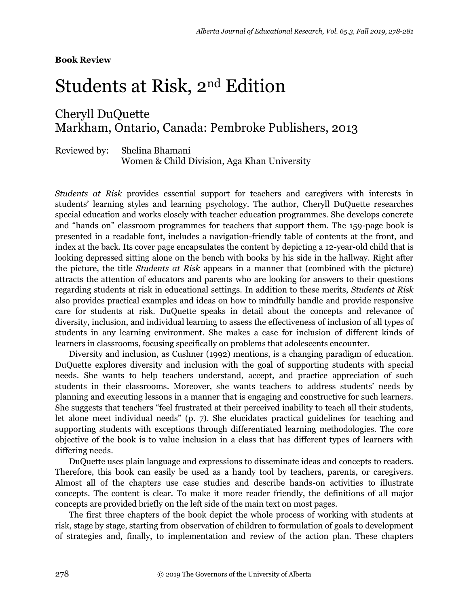## Students at Risk, 2nd Edition

## Cheryll DuQuette Markham, Ontario, Canada: Pembroke Publishers, 2013

Reviewed by: Shelina Bhamani Women & Child Division, Aga Khan University

*Students at Risk* provides essential support for teachers and caregivers with interests in students' learning styles and learning psychology. The author, Cheryll DuQuette researches special education and works closely with teacher education programmes. She develops concrete and "hands on" classroom programmes for teachers that support them. The 159-page book is presented in a readable font, includes a navigation-friendly table of contents at the front, and index at the back. Its cover page encapsulates the content by depicting a 12-year-old child that is looking depressed sitting alone on the bench with books by his side in the hallway. Right after the picture, the title *Students at Risk* appears in a manner that (combined with the picture) attracts the attention of educators and parents who are looking for answers to their questions regarding students at risk in educational settings. In addition to these merits, *Students at Risk* also provides practical examples and ideas on how to mindfully handle and provide responsive care for students at risk. DuQuette speaks in detail about the concepts and relevance of diversity, inclusion, and individual learning to assess the effectiveness of inclusion of all types of students in any learning environment. She makes a case for inclusion of different kinds of learners in classrooms, focusing specifically on problems that adolescents encounter.

Diversity and inclusion, as Cushner (1992) mentions, is a changing paradigm of education. DuQuette explores diversity and inclusion with the goal of supporting students with special needs. She wants to help teachers understand, accept, and practice appreciation of such students in their classrooms. Moreover, she wants teachers to address students' needs by planning and executing lessons in a manner that is engaging and constructive for such learners. She suggests that teachers "feel frustrated at their perceived inability to teach all their students, let alone meet individual needs" (p. 7). She elucidates practical guidelines for teaching and supporting students with exceptions through differentiated learning methodologies. The core objective of the book is to value inclusion in a class that has different types of learners with differing needs.

DuQuette uses plain language and expressions to disseminate ideas and concepts to readers. Therefore, this book can easily be used as a handy tool by teachers, parents, or caregivers. Almost all of the chapters use case studies and describe hands-on activities to illustrate concepts. The content is clear. To make it more reader friendly, the definitions of all major concepts are provided briefly on the left side of the main text on most pages.

The first three chapters of the book depict the whole process of working with students at risk, stage by stage, starting from observation of children to formulation of goals to development of strategies and, finally, to implementation and review of the action plan. These chapters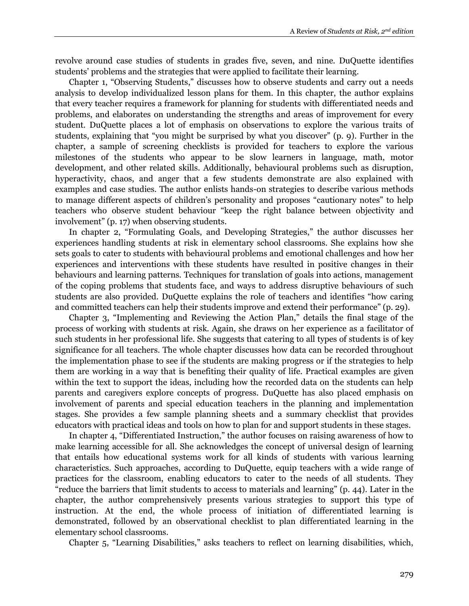revolve around case studies of students in grades five, seven, and nine. DuQuette identifies students' problems and the strategies that were applied to facilitate their learning.

Chapter 1, "Observing Students," discusses how to observe students and carry out a needs analysis to develop individualized lesson plans for them. In this chapter, the author explains that every teacher requires a framework for planning for students with differentiated needs and problems, and elaborates on understanding the strengths and areas of improvement for every student. DuQuette places a lot of emphasis on observations to explore the various traits of students, explaining that "you might be surprised by what you discover" (p. 9). Further in the chapter, a sample of screening checklists is provided for teachers to explore the various milestones of the students who appear to be slow learners in language, math, motor development, and other related skills. Additionally, behavioural problems such as disruption, hyperactivity, chaos, and anger that a few students demonstrate are also explained with examples and case studies. The author enlists hands-on strategies to describe various methods to manage different aspects of children's personality and proposes "cautionary notes" to help teachers who observe student behaviour "keep the right balance between objectivity and involvement" (p. 17) when observing students.

In chapter 2, "Formulating Goals, and Developing Strategies," the author discusses her experiences handling students at risk in elementary school classrooms. She explains how she sets goals to cater to students with behavioural problems and emotional challenges and how her experiences and interventions with these students have resulted in positive changes in their behaviours and learning patterns. Techniques for translation of goals into actions, management of the coping problems that students face, and ways to address disruptive behaviours of such students are also provided. DuQuette explains the role of teachers and identifies "how caring and committed teachers can help their students improve and extend their performance" (p. 29).

Chapter 3, "Implementing and Reviewing the Action Plan," details the final stage of the process of working with students at risk. Again, she draws on her experience as a facilitator of such students in her professional life. She suggests that catering to all types of students is of key significance for all teachers. The whole chapter discusses how data can be recorded throughout the implementation phase to see if the students are making progress or if the strategies to help them are working in a way that is benefiting their quality of life. Practical examples are given within the text to support the ideas, including how the recorded data on the students can help parents and caregivers explore concepts of progress. DuQuette has also placed emphasis on involvement of parents and special education teachers in the planning and implementation stages. She provides a few sample planning sheets and a summary checklist that provides educators with practical ideas and tools on how to plan for and support students in these stages.

In chapter 4, "Differentiated Instruction," the author focuses on raising awareness of how to make learning accessible for all. She acknowledges the concept of universal design of learning that entails how educational systems work for all kinds of students with various learning characteristics. Such approaches, according to DuQuette, equip teachers with a wide range of practices for the classroom, enabling educators to cater to the needs of all students. They "reduce the barriers that limit students to access to materials and learning" (p. 44). Later in the chapter, the author comprehensively presents various strategies to support this type of instruction. At the end, the whole process of initiation of differentiated learning is demonstrated, followed by an observational checklist to plan differentiated learning in the elementary school classrooms.

Chapter 5, "Learning Disabilities," asks teachers to reflect on learning disabilities, which,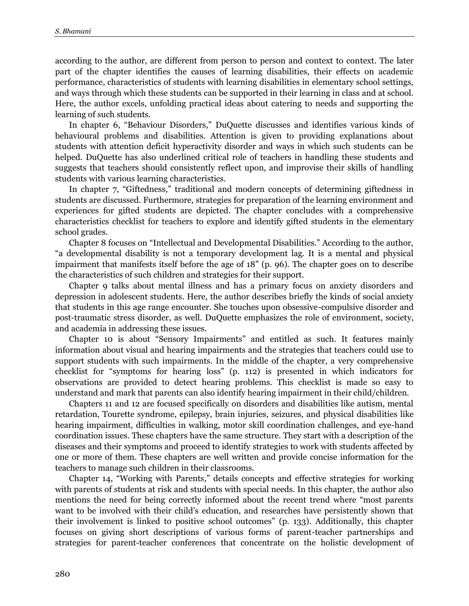according to the author, are different from person to person and context to context. The later part of the chapter identifies the causes of learning disabilities, their effects on academic performance, characteristics of students with learning disabilities in elementary school settings, and ways through which these students can be supported in their learning in class and at school. Here, the author excels, unfolding practical ideas about catering to needs and supporting the learning of such students.

In chapter 6, "Behaviour Disorders," DuQuette discusses and identifies various kinds of behavioural problems and disabilities. Attention is given to providing explanations about students with attention deficit hyperactivity disorder and ways in which such students can be helped. DuQuette has also underlined critical role of teachers in handling these students and suggests that teachers should consistently reflect upon, and improvise their skills of handling students with various learning characteristics.

In chapter 7, "Giftedness," traditional and modern concepts of determining giftedness in students are discussed. Furthermore, strategies for preparation of the learning environment and experiences for gifted students are depicted. The chapter concludes with a comprehensive characteristics checklist for teachers to explore and identify gifted students in the elementary school grades.

Chapter 8 focuses on "Intellectual and Developmental Disabilities." According to the author, "a developmental disability is not a temporary development lag. It is a mental and physical impairment that manifests itself before the age of 18" (p. 96). The chapter goes on to describe the characteristics of such children and strategies for their support.

Chapter 9 talks about mental illness and has a primary focus on anxiety disorders and depression in adolescent students. Here, the author describes briefly the kinds of social anxiety that students in this age range encounter. She touches upon obsessive-compulsive disorder and post-traumatic stress disorder, as well. DuQuette emphasizes the role of environment, society, and academia in addressing these issues.

Chapter 10 is about "Sensory Impairments" and entitled as such. It features mainly information about visual and hearing impairments and the strategies that teachers could use to support students with such impairments. In the middle of the chapter, a very comprehensive checklist for "symptoms for hearing loss" (p. 112) is presented in which indicators for observations are provided to detect hearing problems. This checklist is made so easy to understand and mark that parents can also identify hearing impairment in their child/children.

Chapters 11 and 12 are focused specifically on disorders and disabilities like autism, mental retardation, Tourette syndrome, epilepsy, brain injuries, seizures, and physical disabilities like hearing impairment, difficulties in walking, motor skill coordination challenges, and eye-hand coordination issues. These chapters have the same structure. They start with a description of the diseases and their symptoms and proceed to identify strategies to work with students affected by one or more of them. These chapters are well written and provide concise information for the teachers to manage such children in their classrooms.

Chapter 14, "Working with Parents," details concepts and effective strategies for working with parents of students at risk and students with special needs. In this chapter, the author also mentions the need for being correctly informed about the recent trend where "most parents want to be involved with their child's education, and researches have persistently shown that their involvement is linked to positive school outcomes" (p. 133). Additionally, this chapter focuses on giving short descriptions of various forms of parent-teacher partnerships and strategies for parent-teacher conferences that concentrate on the holistic development of